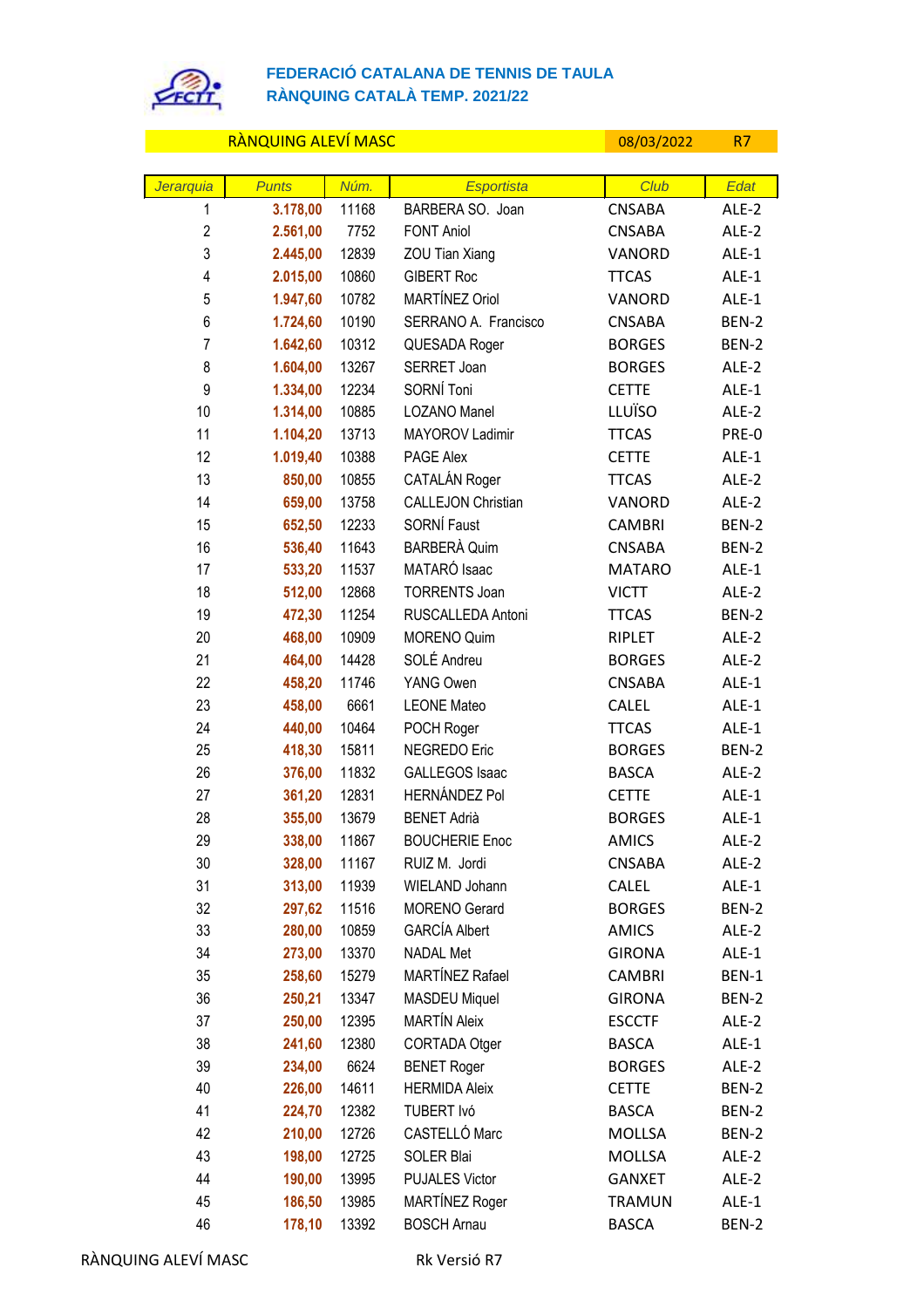

## **FEDERACIÓ CATALANA DE TENNIS DE TAULA RÀNQUING CATALÀ TEMP. 2021/22**

|                | <b>RANQUING ALEVI MASC</b> |       |                           | 08/03/2022    | R7      |
|----------------|----------------------------|-------|---------------------------|---------------|---------|
|                |                            |       |                           |               |         |
| Jerarquia      | <b>Punts</b>               | Núm.  | <b>Esportista</b>         | Club          | Edat    |
| 1              | 3.178,00                   | 11168 | BARBERA SO. Joan          | <b>CNSABA</b> | ALE-2   |
| $\overline{2}$ | 2.561,00                   | 7752  | <b>FONT Aniol</b>         | <b>CNSABA</b> | ALE-2   |
| 3              | 2.445,00                   | 12839 | ZOU Tian Xiang            | VANORD        | ALE-1   |
| 4              | 2.015,00                   | 10860 | <b>GIBERT Roc</b>         | <b>TTCAS</b>  | ALE-1   |
| 5              | 1.947,60                   | 10782 | MARTÍNEZ Oriol            | VANORD        | ALE-1   |
| 6              | 1.724,60                   | 10190 | SERRANO A. Francisco      | <b>CNSABA</b> | BEN-2   |
| $\overline{7}$ | 1.642,60                   | 10312 | QUESADA Roger             | <b>BORGES</b> | BEN-2   |
| 8              | 1.604,00                   | 13267 | SERRET Joan               | <b>BORGES</b> | ALE-2   |
| 9              | 1.334,00                   | 12234 | SORNÍ Toni                | <b>CETTE</b>  | ALE-1   |
| 10             | 1.314,00                   | 10885 | LOZANO Manel              | <b>LLUÏSO</b> | ALE-2   |
| 11             | 1.104,20                   | 13713 | MAYOROV Ladimir           | <b>TTCAS</b>  | PRE-0   |
| 12             | 1.019,40                   | 10388 | PAGE Alex                 | <b>CETTE</b>  | ALE-1   |
| 13             | 850,00                     | 10855 | CATALÁN Roger             | <b>TTCAS</b>  | ALE-2   |
| 14             | 659,00                     | 13758 | <b>CALLEJON Christian</b> | VANORD        | ALE-2   |
| 15             | 652,50                     | 12233 | SORNÍ Faust               | <b>CAMBRI</b> | BEN-2   |
| 16             | 536,40                     | 11643 | <b>BARBERÀ Quim</b>       | <b>CNSABA</b> | BEN-2   |
| 17             | 533,20                     | 11537 | MATARÓ Isaac              | <b>MATARO</b> | ALE-1   |
| 18             | 512,00                     | 12868 | <b>TORRENTS Joan</b>      | <b>VICTT</b>  | ALE-2   |
| 19             | 472,30                     | 11254 | RUSCALLEDA Antoni         | <b>TTCAS</b>  | BEN-2   |
| 20             | 468,00                     | 10909 | <b>MORENO Quim</b>        | RIPLET        | ALE-2   |
| 21             | 464,00                     | 14428 | SOLÉ Andreu               | <b>BORGES</b> | ALE-2   |
| 22             | 458,20                     | 11746 | YANG Owen                 | <b>CNSABA</b> | ALE-1   |
| 23             | 458,00                     | 6661  | <b>LEONE Mateo</b>        | <b>CALEL</b>  | ALE-1   |
| 24             | 440,00                     | 10464 | POCH Roger                | <b>TTCAS</b>  | ALE-1   |
| 25             | 418,30                     | 15811 | NEGREDO Eric              | <b>BORGES</b> | BEN-2   |
| 26             | 376,00                     | 11832 | <b>GALLEGOS Isaac</b>     | <b>BASCA</b>  | ALE-2   |
| 27             | 361,20                     | 12831 | <b>HERNÁNDEZ Pol</b>      | <b>CETTE</b>  | ALE-1   |
| 28             | 355,00                     | 13679 | <b>BENET Adrià</b>        | <b>BORGES</b> | ALE-1   |
| 29             | 338,00                     | 11867 | <b>BOUCHERIE Enoc</b>     | <b>AMICS</b>  | ALE-2   |
| 30             | 328,00                     | 11167 | RUIZ M. Jordi             | CNSABA        | ALE-2   |
| 31             | 313,00                     | 11939 | WIELAND Johann            | <b>CALEL</b>  | ALE-1   |
| 32             | 297,62                     | 11516 | <b>MORENO</b> Gerard      | <b>BORGES</b> | BEN-2   |
| 33             | 280,00                     | 10859 | <b>GARCÍA Albert</b>      | <b>AMICS</b>  | ALE-2   |
| 34             | 273,00                     | 13370 | <b>NADAL Met</b>          | <b>GIRONA</b> | $ALE-1$ |
| 35             | 258,60                     | 15279 | MARTÍNEZ Rafael           | <b>CAMBRI</b> | BEN-1   |
| 36             | 250,21                     | 13347 | <b>MASDEU Miquel</b>      | <b>GIRONA</b> | BEN-2   |
| 37             | 250,00                     | 12395 | <b>MARTÍN Aleix</b>       | <b>ESCCTF</b> | ALE-2   |
| 38             | 241,60                     | 12380 | CORTADA Otger             | <b>BASCA</b>  | ALE-1   |
| 39             | 234,00                     | 6624  | <b>BENET Roger</b>        | <b>BORGES</b> | ALE-2   |
| 40             | 226,00                     | 14611 | <b>HERMIDA Aleix</b>      | <b>CETTE</b>  | BEN-2   |
| 41             | 224,70                     | 12382 | TUBERT Ivó                | <b>BASCA</b>  | BEN-2   |
| 42             | 210,00                     | 12726 | CASTELLÓ Marc             | <b>MOLLSA</b> | BEN-2   |
| 43             | 198,00                     | 12725 | SOLER Blai                | <b>MOLLSA</b> | ALE-2   |
| 44             | 190,00                     | 13995 | <b>PUJALES Victor</b>     | <b>GANXET</b> | ALE-2   |
| 45             | 186,50                     | 13985 | MARTÍNEZ Roger            | <b>TRAMUN</b> | ALE-1   |
| 46             | 178,10                     | 13392 | <b>BOSCH Arnau</b>        | <b>BASCA</b>  | BEN-2   |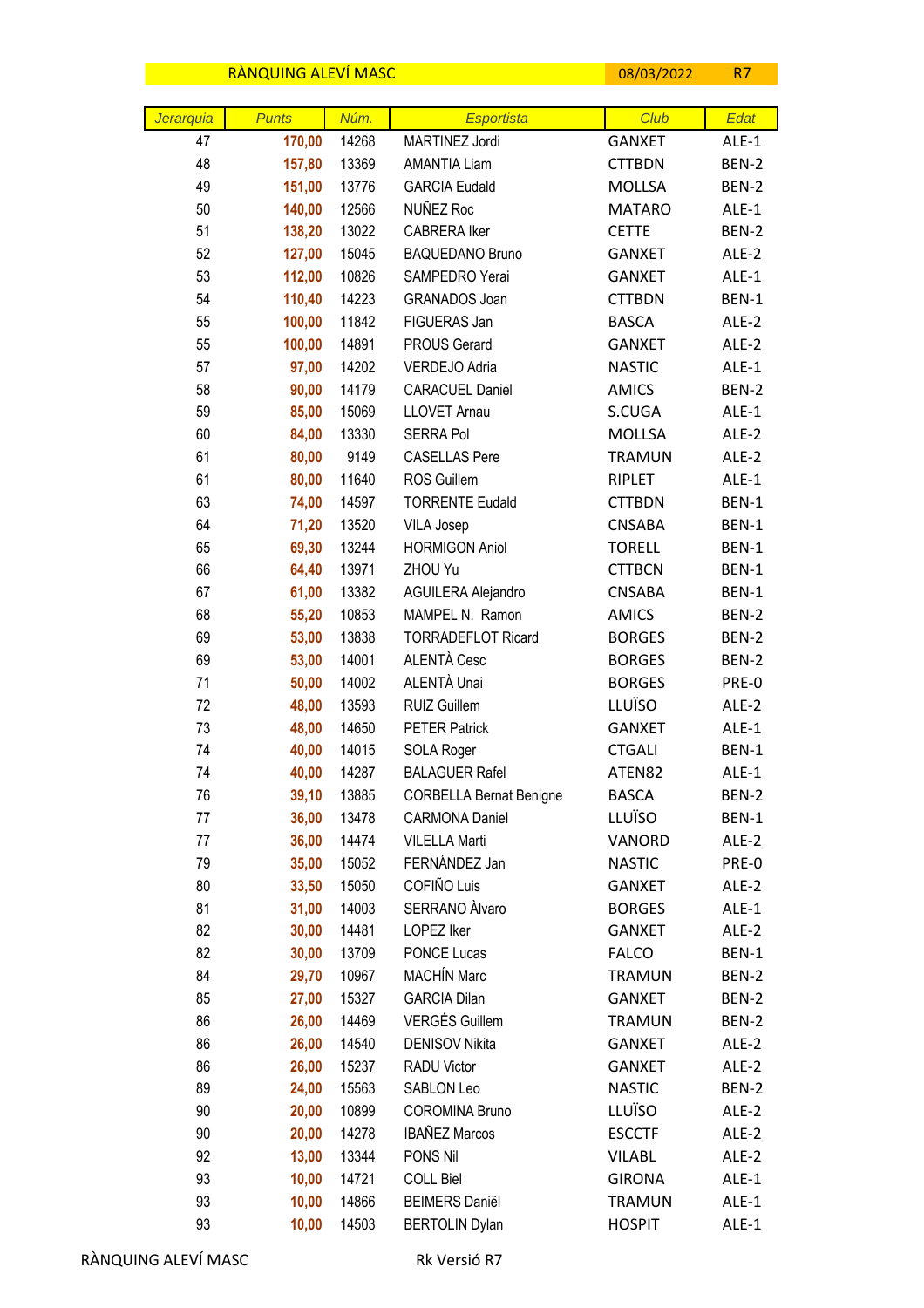|           | RANQUING ALEVI MASC |                |                                          | 08/03/2022                     | R7             |
|-----------|---------------------|----------------|------------------------------------------|--------------------------------|----------------|
|           |                     |                |                                          |                                |                |
| Jerarquia | <b>Punts</b>        | Núm.           | <b>Esportista</b>                        | Club                           | Edat           |
| 47        | 170,00              | 14268          | MARTINEZ Jordi                           | <b>GANXET</b>                  | ALE-1          |
| 48        | 157,80              | 13369          | <b>AMANTIA Liam</b>                      | <b>CTTBDN</b>                  | BEN-2          |
| 49        | 151,00              | 13776          | <b>GARCIA Eudald</b><br>NUÑEZ Roc        | <b>MOLLSA</b>                  | BEN-2          |
| 50        | 140,00              | 12566          | <b>CABRERA Iker</b>                      | <b>MATARO</b>                  | ALE-1          |
| 51        | 138,20              | 13022          |                                          | <b>CETTE</b>                   | BEN-2<br>ALE-2 |
| 52<br>53  | 127,00              | 15045<br>10826 | <b>BAQUEDANO Bruno</b><br>SAMPEDRO Yerai | <b>GANXET</b><br><b>GANXET</b> | ALE-1          |
| 54        | 112,00<br>110,40    | 14223          | GRANADOS Joan                            | <b>CTTBDN</b>                  | BEN-1          |
| 55        | 100,00              | 11842          | FIGUERAS Jan                             | <b>BASCA</b>                   | ALE-2          |
| 55        | 100,00              | 14891          | <b>PROUS Gerard</b>                      | <b>GANXET</b>                  | ALE-2          |
| 57        | 97,00               | 14202          | VERDEJO Adria                            | <b>NASTIC</b>                  | ALE-1          |
| 58        | 90,00               | 14179          | <b>CARACUEL Daniel</b>                   | <b>AMICS</b>                   | BEN-2          |
| 59        | 85,00               | 15069          | <b>LLOVET Arnau</b>                      | S.CUGA                         | ALE-1          |
| 60        | 84,00               | 13330          | <b>SERRA Pol</b>                         | MOLLSA                         | ALE-2          |
| 61        | 80,00               | 9149           | <b>CASELLAS Pere</b>                     | <b>TRAMUN</b>                  | ALE-2          |
| 61        | 80,00               | 11640          | ROS Guillem                              | RIPLET                         | ALE-1          |
| 63        | 74,00               | 14597          | <b>TORRENTE Eudald</b>                   | <b>CTTBDN</b>                  | BEN-1          |
| 64        | 71,20               | 13520          | <b>VILA Josep</b>                        | <b>CNSABA</b>                  | BEN-1          |
| 65        | 69,30               | 13244          | <b>HORMIGON Aniol</b>                    | <b>TORELL</b>                  | BEN-1          |
| 66        | 64,40               | 13971          | ZHOU Yu                                  | <b>CTTBCN</b>                  | BEN-1          |
| 67        | 61,00               | 13382          | AGUILERA Alejandro                       | <b>CNSABA</b>                  | BEN-1          |
| 68        | 55,20               | 10853          | MAMPEL N. Ramon                          | <b>AMICS</b>                   | BEN-2          |
| 69        | 53,00               | 13838          | <b>TORRADEFLOT Ricard</b>                | <b>BORGES</b>                  | BEN-2          |
| 69        | 53,00               | 14001          | ALENTÀ Cesc                              | <b>BORGES</b>                  | BEN-2          |
| 71        | 50,00               | 14002          | ALENTÀ Unai                              | <b>BORGES</b>                  | PRE-0          |
| 72        | 48,00               | 13593          | RUIZ Guillem                             | LLUÏSO                         | ALE-2          |
| 73        | 48,00               | 14650          | <b>PETER Patrick</b>                     | <b>GANXET</b>                  | ALE-1          |
| 74        | 40,00               | 14015          | SOLA Roger                               | <b>CTGALI</b>                  | BEN-1          |
| 74        | 40,00               | 14287          | <b>BALAGUER Rafel</b>                    | ATEN82                         | ALE-1          |
| 76        | 39,10               | 13885          | <b>CORBELLA Bernat Benigne</b>           | <b>BASCA</b>                   | BEN-2          |
| 77        | 36,00               | 13478          | <b>CARMONA Daniel</b>                    | LLUÏSO                         | BEN-1          |
| 77        | 36,00               | 14474          | <b>VILELLA Marti</b>                     | VANORD                         | ALE-2          |
| 79        | 35,00               | 15052          | FERNÁNDEZ Jan                            | <b>NASTIC</b>                  | PRE-0          |
| 80        | 33,50               | 15050          | COFIÑO Luis                              | <b>GANXET</b>                  | ALE-2          |
| 81        | 31,00               | 14003          | SERRANO Alvaro                           | <b>BORGES</b>                  | ALE-1          |
| 82        | 30,00               | 14481          | LOPEZ Iker                               | <b>GANXET</b>                  | ALE-2          |
| 82        | 30,00               | 13709          | PONCE Lucas                              | <b>FALCO</b>                   | BEN-1          |
| 84        | 29,70               | 10967          | <b>MACHÍN Marc</b>                       | <b>TRAMUN</b>                  | BEN-2          |
| 85        | 27,00               | 15327          | <b>GARCIA Dilan</b>                      | <b>GANXET</b>                  | BEN-2          |
| 86        | 26,00               | 14469          | <b>VERGÉS Guillem</b>                    | <b>TRAMUN</b>                  | BEN-2          |
| 86        | 26,00               | 14540          | <b>DENISOV Nikita</b>                    | GANXET                         | ALE-2          |
| 86        | 26,00               | 15237          | RADU Victor                              | <b>GANXET</b>                  | ALE-2          |
| 89        | 24,00               | 15563          | SABLON Leo                               | <b>NASTIC</b>                  | BEN-2          |
| 90        | 20,00               | 10899          | <b>COROMINA Bruno</b>                    | LLUÏSO                         | ALE-2          |
| 90        | 20,00               | 14278          | <b>IBAÑEZ Marcos</b>                     | <b>ESCCTF</b>                  | ALE-2          |
| 92        | 13,00               | 13344          | PONS Nil                                 | <b>VILABL</b>                  | ALE-2          |
| 93        | 10,00               | 14721          | <b>COLL Biel</b>                         | <b>GIRONA</b>                  | ALE-1          |
| 93        | 10,00               | 14866          | <b>BEIMERS Daniël</b>                    | <b>TRAMUN</b>                  | ALE-1          |
| 93        | 10,00               | 14503          | <b>BERTOLIN Dylan</b>                    | <b>HOSPIT</b>                  | ALE-1          |